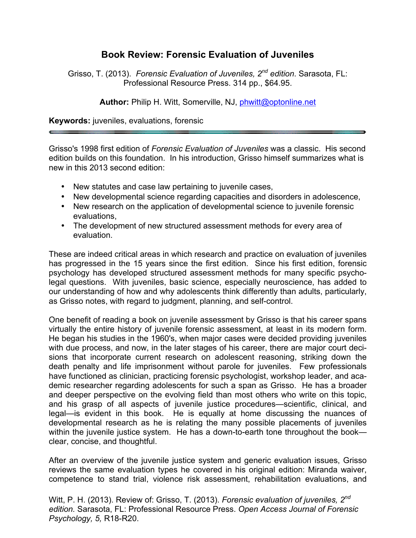## **Book Review: Forensic Evaluation of Juveniles**

Grisso, T. (2013). *Forensic Evaluation of Juveniles, 2nd edition*. Sarasota, FL: Professional Resource Press. 314 pp., \$64.95.

**Author:** Philip H. Witt, Somerville, NJ, phwitt@optonline.net

**Keywords:** juveniles, evaluations, forensic

Grisso's 1998 first edition of *Forensic Evaluation of Juveniles* was a classic. His second edition builds on this foundation. In his introduction, Grisso himself summarizes what is new in this 2013 second edition:

- New statutes and case law pertaining to juvenile cases,
- New developmental science regarding capacities and disorders in adolescence,
- New research on the application of developmental science to juvenile forensic evaluations,
- The development of new structured assessment methods for every area of evaluation.

These are indeed critical areas in which research and practice on evaluation of juveniles has progressed in the 15 years since the first edition. Since his first edition, forensic psychology has developed structured assessment methods for many specific psycholegal questions. With juveniles, basic science, especially neuroscience, has added to our understanding of how and why adolescents think differently than adults, particularly, as Grisso notes, with regard to judgment, planning, and self-control.

One benefit of reading a book on juvenile assessment by Grisso is that his career spans virtually the entire history of juvenile forensic assessment, at least in its modern form. He began his studies in the 1960's, when major cases were decided providing juveniles with due process, and now, in the later stages of his career, there are major court decisions that incorporate current research on adolescent reasoning, striking down the death penalty and life imprisonment without parole for juveniles. Few professionals have functioned as clinician, practicing forensic psychologist, workshop leader, and academic researcher regarding adolescents for such a span as Grisso. He has a broader and deeper perspective on the evolving field than most others who write on this topic, and his grasp of all aspects of juvenile justice procedures—scientific, clinical, and legal—is evident in this book. He is equally at home discussing the nuances of developmental research as he is relating the many possible placements of juveniles within the juvenile justice system. He has a down-to-earth tone throughout the book clear, concise, and thoughtful.

After an overview of the juvenile justice system and generic evaluation issues, Grisso reviews the same evaluation types he covered in his original edition: Miranda waiver, competence to stand trial, violence risk assessment, rehabilitation evaluations, and

Witt, P. H. (2013). Review of: Grisso, T. (2013). *Forensic evaluation of juveniles, 2nd edition.* Sarasota, FL: Professional Resource Press. *Open Access Journal of Forensic Psychology, 5,* R18-R20.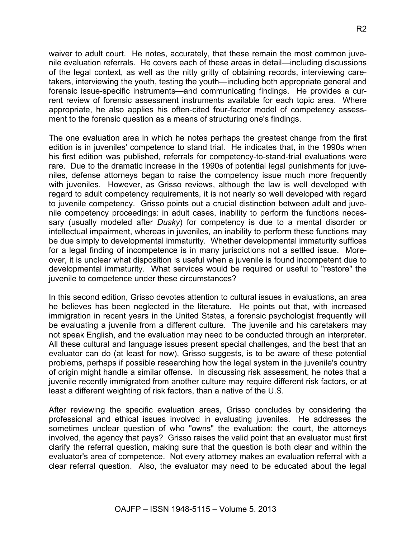waiver to adult court. He notes, accurately, that these remain the most common juvenile evaluation referrals. He covers each of these areas in detail—including discussions of the legal context, as well as the nitty gritty of obtaining records, interviewing caretakers, interviewing the youth, testing the youth—including both appropriate general and forensic issue-specific instruments—and communicating findings. He provides a current review of forensic assessment instruments available for each topic area. Where appropriate, he also applies his often-cited four-factor model of competency assessment to the forensic question as a means of structuring one's findings.

The one evaluation area in which he notes perhaps the greatest change from the first edition is in juveniles' competence to stand trial. He indicates that, in the 1990s when his first edition was published, referrals for competency-to-stand-trial evaluations were rare. Due to the dramatic increase in the 1990s of potential legal punishments for juveniles, defense attorneys began to raise the competency issue much more frequently with juveniles. However, as Grisso reviews, although the law is well developed with regard to adult competency requirements, it is not nearly so well developed with regard to juvenile competency. Grisso points out a crucial distinction between adult and juvenile competency proceedings: in adult cases, inability to perform the functions necessary (usually modeled after *Dusky*) for competency is due to a mental disorder or intellectual impairment, whereas in juveniles, an inability to perform these functions may be due simply to developmental immaturity. Whether developmental immaturity suffices for a legal finding of incompetence is in many jurisdictions not a settled issue. Moreover, it is unclear what disposition is useful when a juvenile is found incompetent due to developmental immaturity. What services would be required or useful to "restore" the juvenile to competence under these circumstances?

In this second edition, Grisso devotes attention to cultural issues in evaluations, an area he believes has been neglected in the literature. He points out that, with increased immigration in recent years in the United States, a forensic psychologist frequently will be evaluating a juvenile from a different culture. The juvenile and his caretakers may not speak English, and the evaluation may need to be conducted through an interpreter. All these cultural and language issues present special challenges, and the best that an evaluator can do (at least for now), Grisso suggests, is to be aware of these potential problems, perhaps if possible researching how the legal system in the juvenile's country of origin might handle a similar offense. In discussing risk assessment, he notes that a juvenile recently immigrated from another culture may require different risk factors, or at least a different weighting of risk factors, than a native of the U.S.

After reviewing the specific evaluation areas, Grisso concludes by considering the professional and ethical issues involved in evaluating juveniles. He addresses the sometimes unclear question of who "owns" the evaluation: the court, the attorneys involved, the agency that pays? Grisso raises the valid point that an evaluator must first clarify the referral question, making sure that the question is both clear and within the evaluator's area of competence. Not every attorney makes an evaluation referral with a clear referral question. Also, the evaluator may need to be educated about the legal